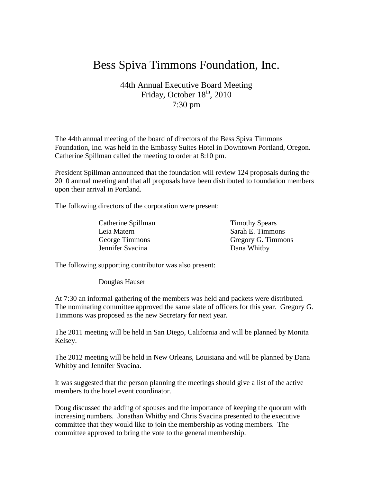## Bess Spiva Timmons Foundation, Inc.

## 44th Annual Executive Board Meeting Friday, October 18<sup>th</sup>, 2010 7:30 pm

The 44th annual meeting of the board of directors of the Bess Spiva Timmons Foundation, Inc. was held in the Embassy Suites Hotel in Downtown Portland, Oregon. Catherine Spillman called the meeting to order at 8:10 pm.

President Spillman announced that the foundation will review 124 proposals during the 2010 annual meeting and that all proposals have been distributed to foundation members upon their arrival in Portland.

The following directors of the corporation were present:

Catherine Spillman Timothy Spears Leia Matern Sarah E. Timmons Jennifer Svacina Dana Whitby

George Timmons Gregory G. Timmons

The following supporting contributor was also present:

Douglas Hauser

At 7:30 an informal gathering of the members was held and packets were distributed. The nominating committee approved the same slate of officers for this year. Gregory G. Timmons was proposed as the new Secretary for next year.

The 2011 meeting will be held in San Diego, California and will be planned by Monita Kelsey.

The 2012 meeting will be held in New Orleans, Louisiana and will be planned by Dana Whitby and Jennifer Svacina.

It was suggested that the person planning the meetings should give a list of the active members to the hotel event coordinator.

Doug discussed the adding of spouses and the importance of keeping the quorum with increasing numbers. Jonathan Whitby and Chris Svacina presented to the executive committee that they would like to join the membership as voting members. The committee approved to bring the vote to the general membership.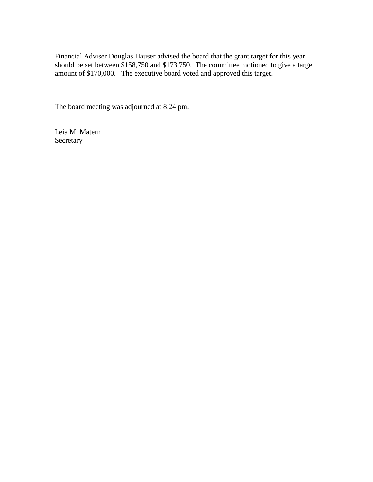Financial Adviser Douglas Hauser advised the board that the grant target for this year should be set between \$158,750 and \$173,750. The committee motioned to give a target amount of \$170,000. The executive board voted and approved this target.

The board meeting was adjourned at 8:24 pm.

Leia M. Matern Secretary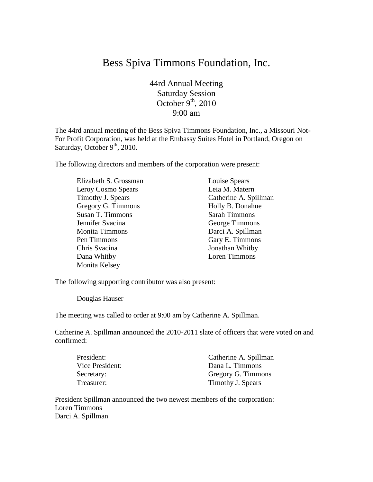## Bess Spiva Timmons Foundation, Inc.

44rd Annual Meeting Saturday Session October  $9<sup>th</sup>$ , 2010 9:00 am

The 44rd annual meeting of the Bess Spiva Timmons Foundation, Inc., a Missouri Not-For Profit Corporation, was held at the Embassy Suites Hotel in Portland, Oregon on Saturday, October 9<sup>th</sup>, 2010.

The following directors and members of the corporation were present:

| Elizabeth S. Grossman | Louise Spears         |
|-----------------------|-----------------------|
| Leroy Cosmo Spears    | Leia M. Matern        |
| Timothy J. Spears     | Catherine A. Spillman |
| Gregory G. Timmons    | Holly B. Donahue      |
| Susan T. Timmons      | <b>Sarah Timmons</b>  |
| Jennifer Svacina      | George Timmons        |
| <b>Monita Timmons</b> | Darci A. Spillman     |
| Pen Timmons           | Gary E. Timmons       |
| Chris Svacina         | Jonathan Whitby       |
| Dana Whitby           | Loren Timmons         |
| Monita Kelsey         |                       |

The following supporting contributor was also present:

Douglas Hauser

The meeting was called to order at 9:00 am by Catherine A. Spillman.

Catherine A. Spillman announced the 2010-2011 slate of officers that were voted on and confirmed:

| President:      | Catherine A. Spillman |
|-----------------|-----------------------|
| Vice President: | Dana L. Timmons       |
| Secretary:      | Gregory G. Timmons    |
| Treasurer:      | Timothy J. Spears     |

President Spillman announced the two newest members of the corporation: Loren Timmons Darci A. Spillman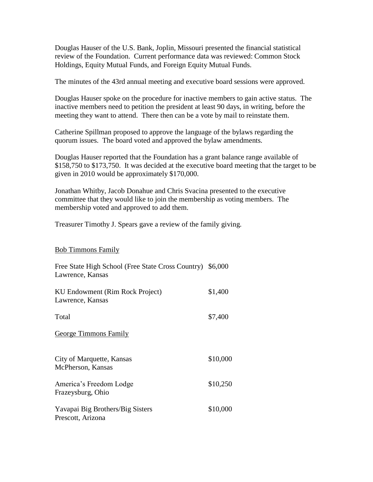Douglas Hauser of the U.S. Bank, Joplin, Missouri presented the financial statistical review of the Foundation. Current performance data was reviewed: Common Stock Holdings, Equity Mutual Funds, and Foreign Equity Mutual Funds.

The minutes of the 43rd annual meeting and executive board sessions were approved.

Douglas Hauser spoke on the procedure for inactive members to gain active status. The inactive members need to petition the president at least 90 days, in writing, before the meeting they want to attend. There then can be a vote by mail to reinstate them.

Catherine Spillman proposed to approve the language of the bylaws regarding the quorum issues. The board voted and approved the bylaw amendments.

Douglas Hauser reported that the Foundation has a grant balance range available of \$158,750 to \$173,750. It was decided at the executive board meeting that the target to be given in 2010 would be approximately \$170,000.

Jonathan Whitby, Jacob Donahue and Chris Svacina presented to the executive committee that they would like to join the membership as voting members. The membership voted and approved to add them.

Treasurer Timothy J. Spears gave a review of the family giving.

Bob Timmons Family

| Free State High School (Free State Cross Country) \$6,000<br>Lawrence, Kansas |          |
|-------------------------------------------------------------------------------|----------|
| KU Endowment (Rim Rock Project)<br>Lawrence, Kansas                           | \$1,400  |
| Total                                                                         | \$7,400  |
| George Timmons Family                                                         |          |
| City of Marquette, Kansas<br>McPherson, Kansas                                | \$10,000 |
| America's Freedom Lodge<br>Frazeysburg, Ohio                                  | \$10,250 |
| Yavapai Big Brothers/Big Sisters<br>Prescott, Arizona                         | \$10,000 |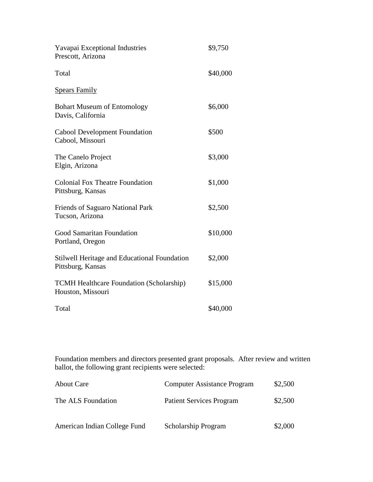| Yavapai Exceptional Industries<br>Prescott, Arizona                  | \$9,750  |
|----------------------------------------------------------------------|----------|
| Total                                                                | \$40,000 |
| <b>Spears Family</b>                                                 |          |
| <b>Bohart Museum of Entomology</b><br>Davis, California              | \$6,000  |
| Cabool Development Foundation<br>Cabool, Missouri                    | \$500    |
| The Canelo Project<br>Elgin, Arizona                                 | \$3,000  |
| <b>Colonial Fox Theatre Foundation</b><br>Pittsburg, Kansas          | \$1,000  |
| Friends of Saguaro National Park<br>Tucson, Arizona                  | \$2,500  |
| Good Samaritan Foundation<br>Portland, Oregon                        | \$10,000 |
| Stilwell Heritage and Educational Foundation<br>Pittsburg, Kansas    | \$2,000  |
| <b>TCMH Healthcare Foundation (Scholarship)</b><br>Houston, Missouri | \$15,000 |
| Total                                                                | \$40,000 |

Foundation members and directors presented grant proposals. After review and written ballot, the following grant recipients were selected:

| <b>About Care</b>            | <b>Computer Assistance Program</b> | \$2,500 |
|------------------------------|------------------------------------|---------|
| The ALS Foundation           | <b>Patient Services Program</b>    | \$2,500 |
| American Indian College Fund | <b>Scholarship Program</b>         | \$2,000 |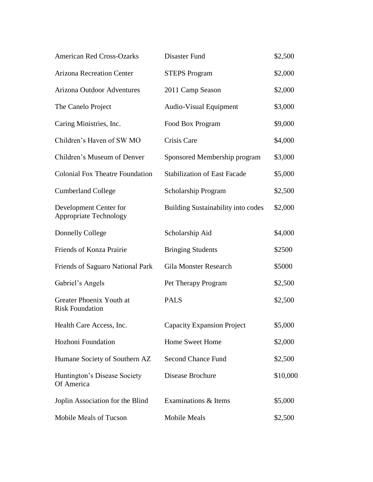| <b>American Red Cross-Ozarks</b>                        | Disaster Fund                             | \$2,500  |
|---------------------------------------------------------|-------------------------------------------|----------|
| <b>Arizona Recreation Center</b>                        | <b>STEPS Program</b>                      | \$2,000  |
| <b>Arizona Outdoor Adventures</b>                       | 2011 Camp Season                          | \$2,000  |
| The Canelo Project                                      | Audio-Visual Equipment                    | \$3,000  |
| Caring Ministries, Inc.                                 | Food Box Program                          | \$9,000  |
| Children's Haven of SW MO                               | Crisis Care                               | \$4,000  |
| Children's Museum of Denver                             | Sponsored Membership program              | \$3,000  |
| <b>Colonial Fox Theatre Foundation</b>                  | <b>Stabilization of East Facade</b>       | \$5,000  |
| <b>Cumberland College</b>                               | Scholarship Program                       | \$2,500  |
| Development Center for<br><b>Appropriate Technology</b> | <b>Building Sustainability into codes</b> | \$2,000  |
| <b>Donnelly College</b>                                 | Scholarship Aid                           | \$4,000  |
| Friends of Konza Prairie                                | <b>Bringing Students</b>                  | \$2500   |
| Friends of Saguaro National Park                        | <b>Gila Monster Research</b>              | \$5000   |
| Gabriel's Angels                                        | Pet Therapy Program                       | \$2,500  |
| Greater Phoenix Youth at<br><b>Risk Foundation</b>      | <b>PALS</b>                               | \$2,500  |
| Health Care Access, Inc.                                | <b>Capacity Expansion Project</b>         | \$5,000  |
| Hozhoni Foundation                                      | Home Sweet Home                           | \$2,000  |
| Humane Society of Southern AZ                           | <b>Second Chance Fund</b>                 | \$2,500  |
| Huntington's Disease Society<br>Of America              | Disease Brochure                          | \$10,000 |
| Joplin Association for the Blind                        | Examinations & Items                      | \$5,000  |
| Mobile Meals of Tucson                                  | Mobile Meals                              | \$2,500  |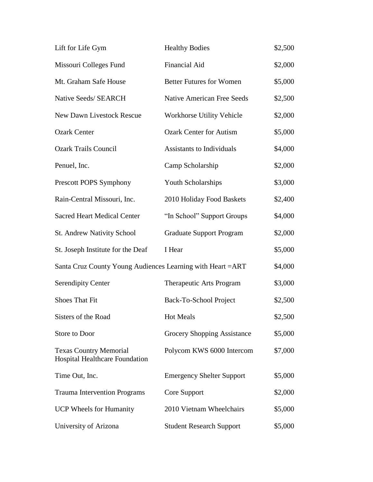| Lift for Life Gym                                                      | <b>Healthy Bodies</b>             | \$2,500 |
|------------------------------------------------------------------------|-----------------------------------|---------|
| Missouri Colleges Fund                                                 | Financial Aid                     | \$2,000 |
| Mt. Graham Safe House                                                  | <b>Better Futures for Women</b>   | \$5,000 |
| Native Seeds/ SEARCH                                                   | <b>Native American Free Seeds</b> | \$2,500 |
| <b>New Dawn Livestock Rescue</b>                                       | Workhorse Utility Vehicle         | \$2,000 |
| <b>Ozark Center</b>                                                    | <b>Ozark Center for Autism</b>    | \$5,000 |
| <b>Ozark Trails Council</b>                                            | <b>Assistants to Individuals</b>  | \$4,000 |
| Penuel, Inc.                                                           | Camp Scholarship                  | \$2,000 |
| Prescott POPS Symphony                                                 | Youth Scholarships                | \$3,000 |
| Rain-Central Missouri, Inc.                                            | 2010 Holiday Food Baskets         | \$2,400 |
| <b>Sacred Heart Medical Center</b>                                     | "In School" Support Groups        | \$4,000 |
| St. Andrew Nativity School                                             | <b>Graduate Support Program</b>   | \$2,000 |
| St. Joseph Institute for the Deaf                                      | I Hear                            | \$5,000 |
| Santa Cruz County Young Audiences Learning with Heart = ART            |                                   | \$4,000 |
| <b>Serendipity Center</b>                                              | Therapeutic Arts Program          | \$3,000 |
| Shoes That Fit                                                         | Back-To-School Project            | \$2,500 |
| Sisters of the Road                                                    | <b>Hot Meals</b>                  | \$2,500 |
| Store to Door                                                          | Grocery Shopping Assistance       | \$5,000 |
| <b>Texas Country Memorial</b><br><b>Hospital Healthcare Foundation</b> | Polycom KWS 6000 Intercom         | \$7,000 |
| Time Out, Inc.                                                         | <b>Emergency Shelter Support</b>  | \$5,000 |
| <b>Trauma Intervention Programs</b>                                    | Core Support                      | \$2,000 |
| <b>UCP Wheels for Humanity</b>                                         | 2010 Vietnam Wheelchairs          | \$5,000 |
| University of Arizona                                                  | <b>Student Research Support</b>   | \$5,000 |